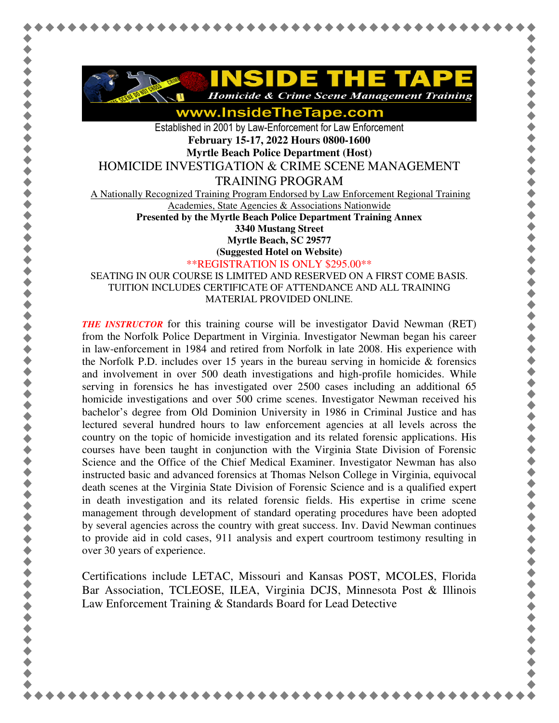

www.InsideTheTape.com

Established in 2001 by Law-Enforcement for Law Enforcement **February 15-17, 2022 Hours 0800-1600 Myrtle Beach Police Department (Host)** 

HOMICIDE INVESTIGATION & CRIME SCENE MANAGEMENT

TRAINING PROGRAM

A Nationally Recognized Training Program Endorsed by Law Enforcement Regional Training

Academies, State Agencies & Associations Nationwide

**Presented by the Myrtle Beach Police Department Training Annex 3340 Mustang Street Myrtle Beach, SC 29577** 

**(Suggested Hotel on Website)**

\*\*REGISTRATION IS ONLY \$295.00\*\*

SEATING IN OUR COURSE IS LIMITED AND RESERVED ON A FIRST COME BASIS. TUITION INCLUDES CERTIFICATE OF ATTENDANCE AND ALL TRAINING MATERIAL PROVIDED ONLINE.

*THE INSTRUCTOR* for this training course will be investigator David Newman (RET) from the Norfolk Police Department in Virginia. Investigator Newman began his career in law-enforcement in 1984 and retired from Norfolk in late 2008. His experience with the Norfolk P.D. includes over 15 years in the bureau serving in homicide  $\&$  forensics and involvement in over 500 death investigations and high-profile homicides. While serving in forensics he has investigated over 2500 cases including an additional 65 homicide investigations and over 500 crime scenes. Investigator Newman received his bachelor's degree from Old Dominion University in 1986 in Criminal Justice and has lectured several hundred hours to law enforcement agencies at all levels across the country on the topic of homicide investigation and its related forensic applications. His courses have been taught in conjunction with the Virginia State Division of Forensic Science and the Office of the Chief Medical Examiner. Investigator Newman has also instructed basic and advanced forensics at Thomas Nelson College in Virginia, equivocal death scenes at the Virginia State Division of Forensic Science and is a qualified expert in death investigation and its related forensic fields. His expertise in crime scene management through development of standard operating procedures have been adopted by several agencies across the country with great success. Inv. David Newman continues to provide aid in cold cases, 911 analysis and expert courtroom testimony resulting in over 30 years of experience.

Certifications include LETAC, Missouri and Kansas POST, MCOLES, Florida Bar Association, TCLEOSE, ILEA, Virginia DCJS, Minnesota Post & Illinois Law Enforcement Training & Standards Board for Lead Detective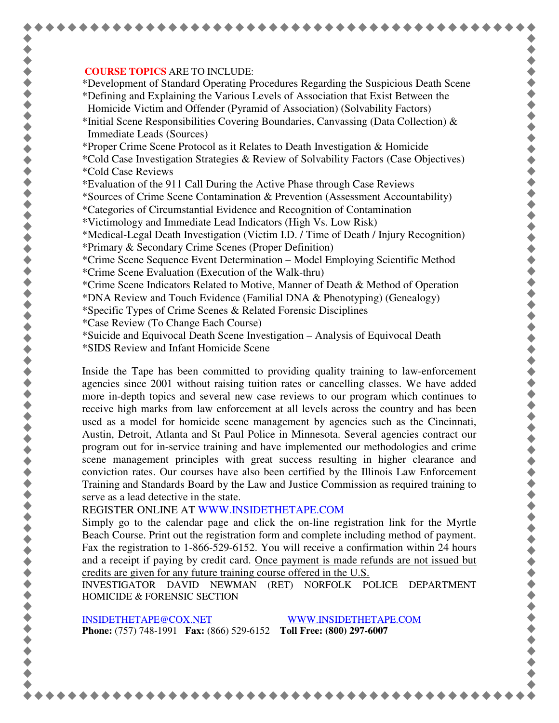## **COURSE TOPICS** ARE TO INCLUDE:

\*Development of Standard Operating Procedures Regarding the Suspicious Death Scene \*Defining and Explaining the Various Levels of Association that Exist Between the Homicide Victim and Offender (Pyramid of Association) (Solvability Factors)

\*Initial Scene Responsibilities Covering Boundaries, Canvassing (Data Collection)  $\&$ Immediate Leads (Sources)

\*Proper Crime Scene Protocol as it Relates to Death Investigation & Homicide

- \*Cold Case Investigation Strategies & Review of Solvability Factors (Case Objectives) \*Cold Case Reviews
- \*Evaluation of the 911 Call During the Active Phase through Case Reviews

\*Sources of Crime Scene Contamination & Prevention (Assessment Accountability)

- \*Categories of Circumstantial Evidence and Recognition of Contamination
- \*Victimology and Immediate Lead Indicators (High Vs. Low Risk)

\*Medical-Legal Death Investigation (Victim I.D. / Time of Death / Injury Recognition)

- \*Primary & Secondary Crime Scenes (Proper Definition)
- \*Crime Scene Sequence Event Determination Model Employing Scientific Method \*Crime Scene Evaluation (Execution of the Walk-thru)
- \*Crime Scene Indicators Related to Motive, Manner of Death & Method of Operation

\*DNA Review and Touch Evidence (Familial DNA & Phenotyping) (Genealogy)

- \*Specific Types of Crime Scenes & Related Forensic Disciplines
- \*Case Review (To Change Each Course)
- \*Suicide and Equivocal Death Scene Investigation Analysis of Equivocal Death
- \*SIDS Review and Infant Homicide Scene

Inside the Tape has been committed to providing quality training to law-enforcement agencies since 2001 without raising tuition rates or cancelling classes. We have added more in-depth topics and several new case reviews to our program which continues to receive high marks from law enforcement at all levels across the country and has been used as a model for homicide scene management by agencies such as the Cincinnati, Austin, Detroit, Atlanta and St Paul Police in Minnesota. Several agencies contract our program out for in-service training and have implemented our methodologies and crime scene management principles with great success resulting in higher clearance and conviction rates. Our courses have also been certified by the Illinois Law Enforcement Training and Standards Board by the Law and Justice Commission as required training to serve as a lead detective in the state.

REGISTER ONLINE AT WWW.INSIDETHETAPE.COM

Simply go to the calendar page and click the on-line registration link for the Myrtle Beach Course. Print out the registration form and complete including method of payment. Fax the registration to 1-866-529-6152. You will receive a confirmation within 24 hours and a receipt if paying by credit card. Once payment is made refunds are not issued but credits are given for any future training course offered in the U.S.

INVESTIGATOR DAVID NEWMAN (RET) NORFOLK POLICE DEPARTMENT HOMICIDE & FORENSIC SECTION

INSIDETHETAPE@COX.NET WWW.INSIDETHETAPE.COM **Phone:** (757) 748-1991 **Fax:** (866) 529-6152 **Toll Free: (800) 297-6007**